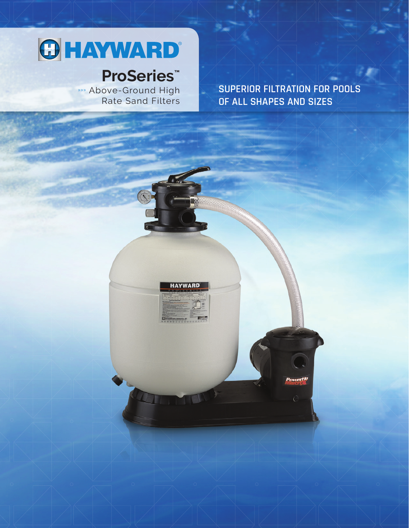# **OHAYWARD®**

## **ProSeries™**

75

**HAYWARD** 

»»» Above-Ground High Rate Sand Filters **SUPERIOR FILTRATION FOR POOLS OF ALL SHAPES AND SIZES**